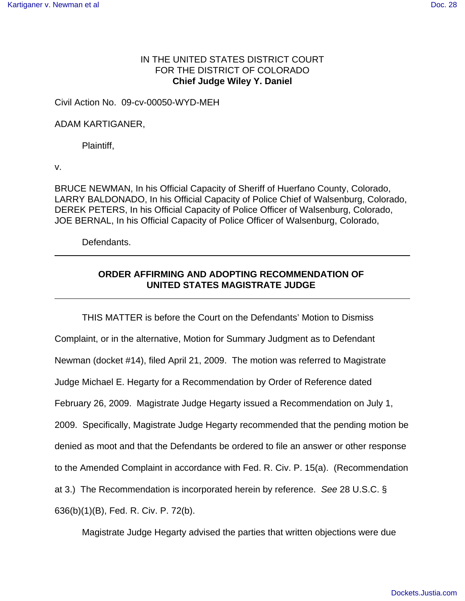## IN THE UNITED STATES DISTRICT COURT FOR THE DISTRICT OF COLORADO **Chief Judge Wiley Y. Daniel**

Civil Action No. 09-cv-00050-WYD-MEH

## ADAM KARTIGANER,

Plaintiff,

v.

BRUCE NEWMAN, In his Official Capacity of Sheriff of Huerfano County, Colorado, LARRY BALDONADO, In his Official Capacity of Police Chief of Walsenburg, Colorado, DEREK PETERS, In his Official Capacity of Police Officer of Walsenburg, Colorado, JOE BERNAL, In his Official Capacity of Police Officer of Walsenburg, Colorado,

Defendants.

## **ORDER AFFIRMING AND ADOPTING RECOMMENDATION OF UNITED STATES MAGISTRATE JUDGE**

THIS MATTER is before the Court on the Defendants' Motion to Dismiss Complaint, or in the alternative, Motion for Summary Judgment as to Defendant Newman (docket #14), filed April 21, 2009. The motion was referred to Magistrate Judge Michael E. Hegarty for a Recommendation by Order of Reference dated February 26, 2009. Magistrate Judge Hegarty issued a Recommendation on July 1, 2009. Specifically, Magistrate Judge Hegarty recommended that the pending motion be denied as moot and that the Defendants be ordered to file an answer or other response to the Amended Complaint in accordance with Fed. R. Civ. P. 15(a). (Recommendation at 3.) The Recommendation is incorporated herein by reference. *See* 28 U.S.C. § 636(b)(1)(B), Fed. R. Civ. P. 72(b).

Magistrate Judge Hegarty advised the parties that written objections were due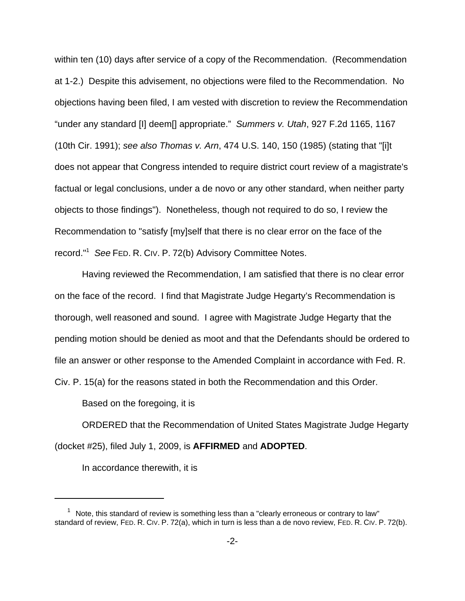within ten (10) days after service of a copy of the Recommendation. (Recommendation at 1-2.) Despite this advisement, no objections were filed to the Recommendation. No objections having been filed, I am vested with discretion to review the Recommendation "under any standard [I] deem[] appropriate." *Summers v. Utah*, 927 F.2d 1165, 1167 (10th Cir. 1991); *see also Thomas v. Arn*, 474 U.S. 140, 150 (1985) (stating that "[i]t does not appear that Congress intended to require district court review of a magistrate's factual or legal conclusions, under a de novo or any other standard, when neither party objects to those findings"). Nonetheless, though not required to do so, I review the Recommendation to "satisfy [my]self that there is no clear error on the face of the record."1 *See* FED. R. CIV. P. 72(b) Advisory Committee Notes.

Having reviewed the Recommendation, I am satisfied that there is no clear error on the face of the record. I find that Magistrate Judge Hegarty's Recommendation is thorough, well reasoned and sound. I agree with Magistrate Judge Hegarty that the pending motion should be denied as moot and that the Defendants should be ordered to file an answer or other response to the Amended Complaint in accordance with Fed. R. Civ. P. 15(a) for the reasons stated in both the Recommendation and this Order.

Based on the foregoing, it is

ORDERED that the Recommendation of United States Magistrate Judge Hegarty (docket #25), filed July 1, 2009, is **AFFIRMED** and **ADOPTED**.

In accordance therewith, it is

 $1$  Note, this standard of review is something less than a "clearly erroneous or contrary to law" standard of review, FED. R. CIV. P. 72(a), which in turn is less than a de novo review, FED. R. CIV. P. 72(b).